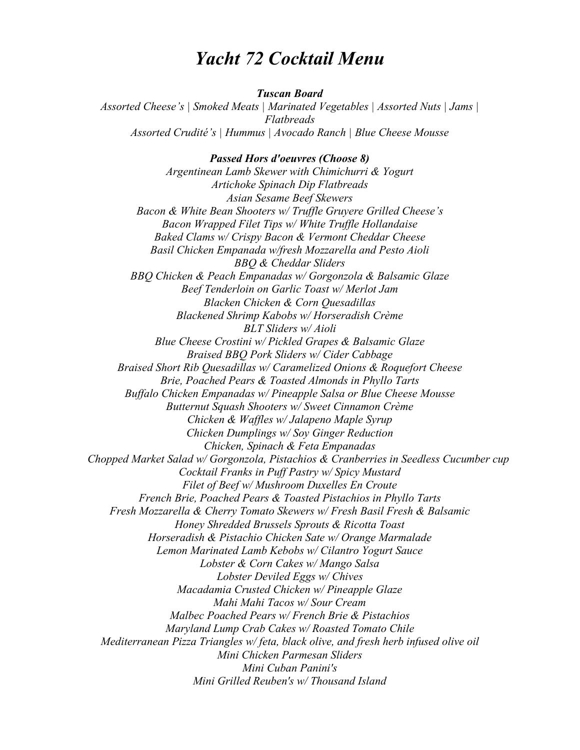# *Yacht 72 Cocktail Menu*

#### *Tuscan Board*

*Assorted Cheese's | Smoked Meats | Marinated Vegetables | Assorted Nuts | Jams | Flatbreads Assorted Crudité's | Hummus | Avocado Ranch | Blue Cheese Mousse* 

*Passed Hors d'oeuvres (Choose 8) Argentinean Lamb Skewer with Chimichurri & Yogurt Artichoke Spinach Dip Flatbreads Asian Sesame Beef Skewers Bacon & White Bean Shooters w/ Truffle Gruyere Grilled Cheese's Bacon Wrapped Filet Tips w/ White Truffle Hollandaise Baked Clams w/ Crispy Bacon & Vermont Cheddar Cheese Basil Chicken Empanada w/fresh Mozzarella and Pesto Aioli BBQ & Cheddar Sliders BBQ Chicken & Peach Empanadas w/ Gorgonzola & Balsamic Glaze Beef Tenderloin on Garlic Toast w/ Merlot Jam Blacken Chicken & Corn Quesadillas Blackened Shrimp Kabobs w/ Horseradish Crème BLT Sliders w/ Aioli Blue Cheese Crostini w/ Pickled Grapes & Balsamic Glaze Braised BBQ Pork Sliders w/ Cider Cabbage Braised Short Rib Quesadillas w/ Caramelized Onions & Roquefort Cheese Brie, Poached Pears & Toasted Almonds in Phyllo Tarts Buffalo Chicken Empanadas w/ Pineapple Salsa or Blue Cheese Mousse Butternut Squash Shooters w/ Sweet Cinnamon Crème Chicken & Waffles w/ Jalapeno Maple Syrup Chicken Dumplings w/ Soy Ginger Reduction Chicken, Spinach & Feta Empanadas Chopped Market Salad w/ Gorgonzola, Pistachios & Cranberries in Seedless Cucumber cup Cocktail Franks in Puff Pastry w/ Spicy Mustard Filet of Beef w/ Mushroom Duxelles En Croute French Brie, Poached Pears & Toasted Pistachios in Phyllo Tarts Fresh Mozzarella & Cherry Tomato Skewers w/ Fresh Basil Fresh & Balsamic Honey Shredded Brussels Sprouts & Ricotta Toast Horseradish & Pistachio Chicken Sate w/ Orange Marmalade Lemon Marinated Lamb Kebobs w/ Cilantro Yogurt Sauce Lobster & Corn Cakes w/ Mango Salsa Lobster Deviled Eggs w/ Chives Macadamia Crusted Chicken w/ Pineapple Glaze Mahi Mahi Tacos w/ Sour Cream Malbec Poached Pears w/ French Brie & Pistachios Maryland Lump Crab Cakes w/ Roasted Tomato Chile Mediterranean Pizza Triangles w/ feta, black olive, and fresh herb infused olive oil Mini Chicken Parmesan Sliders Mini Cuban Panini's Mini Grilled Reuben's w/ Thousand Island*